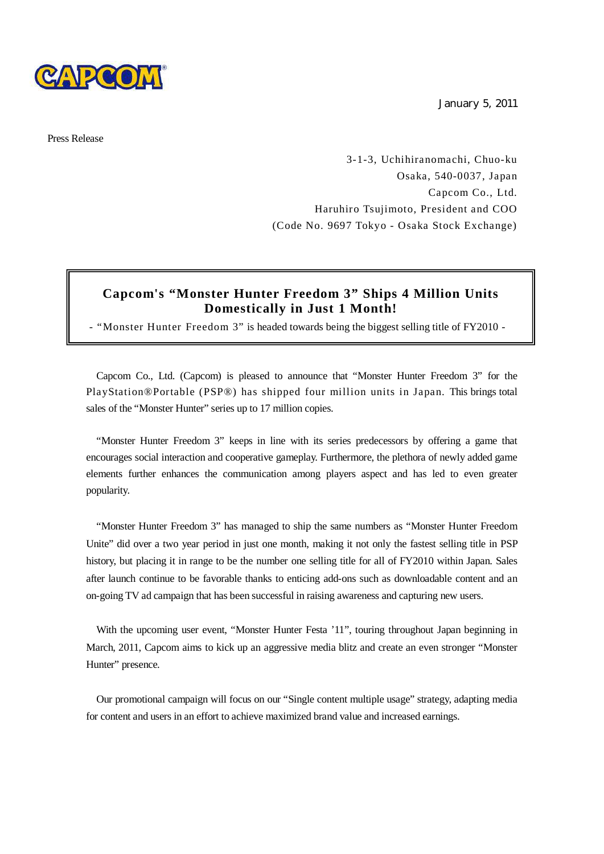

January 5, 2011

Press Release

3-1-3, Uchihiranomachi, Chuo-ku Osaka, 540-0037, Japan Capcom Co., Ltd. Haruhiro Tsujimoto, President and COO (Code No. 9697 Tokyo - Osaka Stock Exchange)

## **Capcom's "Monster Hunter Freedom 3" Ships 4 Million Units Domestically in Just 1 Month!**

- "Monster Hunter Freedom 3" is headed towards being the biggest selling title of FY2010 -

Capcom Co., Ltd. (Capcom) is pleased to announce that "Monster Hunter Freedom 3" for the PlayStation®Portable (PSP®) has shipped four million units in Japan. This brings total sales of the "Monster Hunter" series up to 17 million copies.

"Monster Hunter Freedom 3" keeps in line with its series predecessors by offering a game that encourages social interaction and cooperative gameplay. Furthermore, the plethora of newly added game elements further enhances the communication among players aspect and has led to even greater popularity.

"Monster Hunter Freedom 3" has managed to ship the same numbers as "Monster Hunter Freedom Unite" did over a two year period in just one month, making it not only the fastest selling title in PSP history, but placing it in range to be the number one selling title for all of FY2010 within Japan. Sales after launch continue to be favorable thanks to enticing add-ons such as downloadable content and an on-going TV ad campaign that has been successful in raising awareness and capturing new users.

With the upcoming user event, "Monster Hunter Festa '11", touring throughout Japan beginning in March, 2011, Capcom aims to kick up an aggressive media blitz and create an even stronger "Monster Hunter" presence.

Our promotional campaign will focus on our "Single content multiple usage" strategy, adapting media for content and users in an effort to achieve maximized brand value and increased earnings.